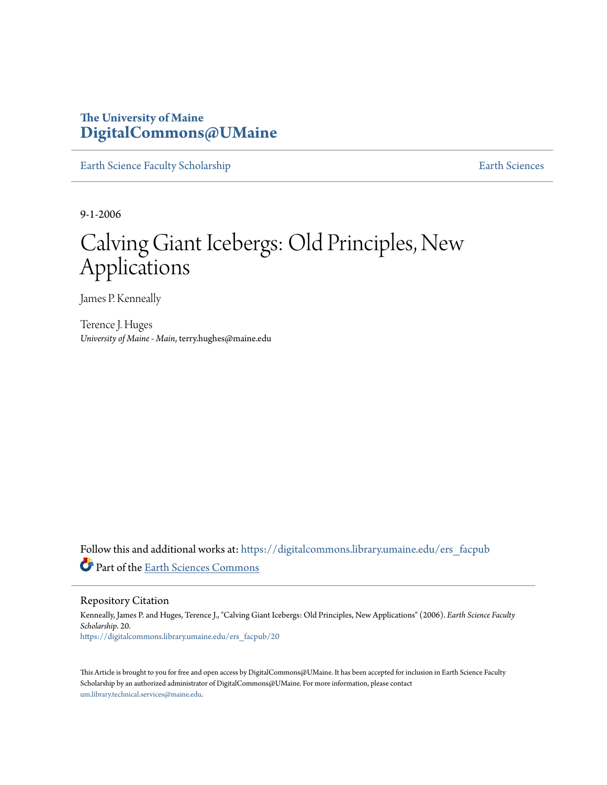# **The University of Maine [DigitalCommons@UMaine](https://digitalcommons.library.umaine.edu?utm_source=digitalcommons.library.umaine.edu%2Fers_facpub%2F20&utm_medium=PDF&utm_campaign=PDFCoverPages)**

[Earth Science Faculty Scholarship](https://digitalcommons.library.umaine.edu/ers_facpub?utm_source=digitalcommons.library.umaine.edu%2Fers_facpub%2F20&utm_medium=PDF&utm_campaign=PDFCoverPages) **[Earth Sciences](https://digitalcommons.library.umaine.edu/ers?utm_source=digitalcommons.library.umaine.edu%2Fers_facpub%2F20&utm_medium=PDF&utm_campaign=PDFCoverPages)** 

9-1-2006

# Calving Giant Icebergs: Old Principles, New Applications

James P. Kenneally

Terence J. Huges *University of Maine - Main*, terry.hughes@maine.edu

Follow this and additional works at: [https://digitalcommons.library.umaine.edu/ers\\_facpub](https://digitalcommons.library.umaine.edu/ers_facpub?utm_source=digitalcommons.library.umaine.edu%2Fers_facpub%2F20&utm_medium=PDF&utm_campaign=PDFCoverPages) Part of the [Earth Sciences Commons](http://network.bepress.com/hgg/discipline/153?utm_source=digitalcommons.library.umaine.edu%2Fers_facpub%2F20&utm_medium=PDF&utm_campaign=PDFCoverPages)

Repository Citation

Kenneally, James P. and Huges, Terence J., "Calving Giant Icebergs: Old Principles, New Applications" (2006). *Earth Science Faculty Scholarship*. 20. [https://digitalcommons.library.umaine.edu/ers\\_facpub/20](https://digitalcommons.library.umaine.edu/ers_facpub/20?utm_source=digitalcommons.library.umaine.edu%2Fers_facpub%2F20&utm_medium=PDF&utm_campaign=PDFCoverPages)

This Article is brought to you for free and open access by DigitalCommons@UMaine. It has been accepted for inclusion in Earth Science Faculty Scholarship by an authorized administrator of DigitalCommons@UMaine. For more information, please contact [um.library.technical.services@maine.edu](mailto:um.library.technical.services@maine.edu).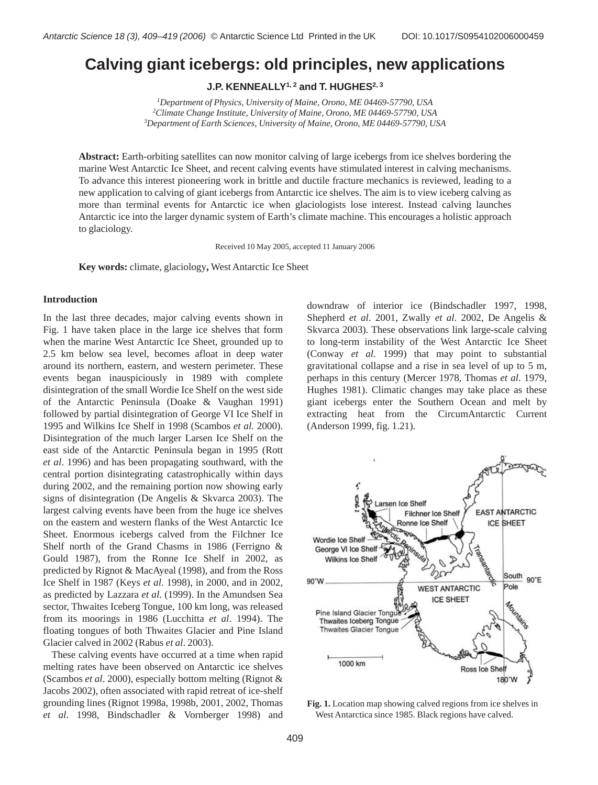# **Calving giant icebergs: old principles, new applications**

**J.P. KENNEALLY1, 2 and T. HUGHES2, 3**

*1 Department of Physics, University of Maine, Orono, ME 04469-57790, USA 2 Climate Change Institute, University of Maine, Orono, ME 04469-57790, USA 3 Department of Earth Sciences, University of Maine, Orono, ME 04469-57790, USA*

**Abstract:** Earth-orbiting satellites can now monitor calving of large icebergs from ice shelves bordering the marine West Antarctic Ice Sheet, and recent calving events have stimulated interest in calving mechanisms. To advance this interest pioneering work in brittle and ductile fracture mechanics is reviewed, leading to a new application to calving of giant icebergs from Antarctic ice shelves. The aim is to view iceberg calving as more than terminal events for Antarctic ice when glaciologists lose interest. Instead calving launches Antarctic ice into the larger dynamic system of Earth's climate machine. This encourages a holistic approach to glaciology.

Received 10 May 2005, accepted 11 January 2006

**Key words:** climate, glaciology**,** West Antarctic Ice Sheet

## **Introduction**

In the last three decades, major calving events shown in Fig. 1 have taken place in the large ice shelves that form when the marine West Antarctic Ice Sheet, grounded up to 2.5 km below sea level, becomes afloat in deep water around its northern, eastern, and western perimeter. These events began inauspiciously in 1989 with complete disintegration of the small Wordie Ice Shelf on the west side of the Antarctic Peninsula (Doake & Vaughan 1991) followed by partial disintegration of George VI Ice Shelf in 1995 and Wilkins Ice Shelf in 1998 (Scambos *et al.* 2000). Disintegration of the much larger Larsen Ice Shelf on the east side of the Antarctic Peninsula began in 1995 (Rott *et al*. 1996) and has been propagating southward, with the central portion disintegrating catastrophically within days during 2002, and the remaining portion now showing early signs of disintegration (De Angelis & Skvarca 2003). The largest calving events have been from the huge ice shelves on the eastern and western flanks of the West Antarctic Ice Sheet. Enormous icebergs calved from the Filchner Ice Shelf north of the Grand Chasms in 1986 (Ferrigno & Gould 1987), from the Ronne Ice Shelf in 2002, as predicted by Rignot & MacAyeal (1998), and from the Ross Ice Shelf in 1987 (Keys *et al*. 1998), in 2000, and in 2002, as predicted by Lazzara *et al*. (1999). In the Amundsen Sea sector, Thwaites Iceberg Tongue, 100 km long, was released from its moorings in 1986 (Lucchitta *et al*. 1994). The floating tongues of both Thwaites Glacier and Pine Island Glacier calved in 2002 (Rabus *et al*. 2003).

These calving events have occurred at a time when rapid melting rates have been observed on Antarctic ice shelves (Scambos *et al*. 2000), especially bottom melting (Rignot & Jacobs 2002), often associated with rapid retreat of ice-shelf grounding lines (Rignot 1998a, 1998b, 2001, 2002, Thomas *et al*. 1998, Bindschadler & Vornberger 1998) and

downdraw of interior ice (Bindschadler 1997, 1998, Shepherd *et al*. 2001, Zwally *et al*. 2002, De Angelis & Skvarca 2003). These observations link large-scale calving to long-term instability of the West Antarctic Ice Sheet (Conway *et al*. 1999) that may point to substantial gravitational collapse and a rise in sea level of up to 5 m, perhaps in this century (Mercer 1978, Thomas *et al*. 1979, Hughes 1981). Climatic changes may take place as these giant icebergs enter the Southern Ocean and melt by extracting heat from the CircumAntarctic Current (Anderson 1999, fig. 1.21).



**Fig. 1.** Location map showing calved regions from ice shelves in West Antarctica since 1985. Black regions have calved.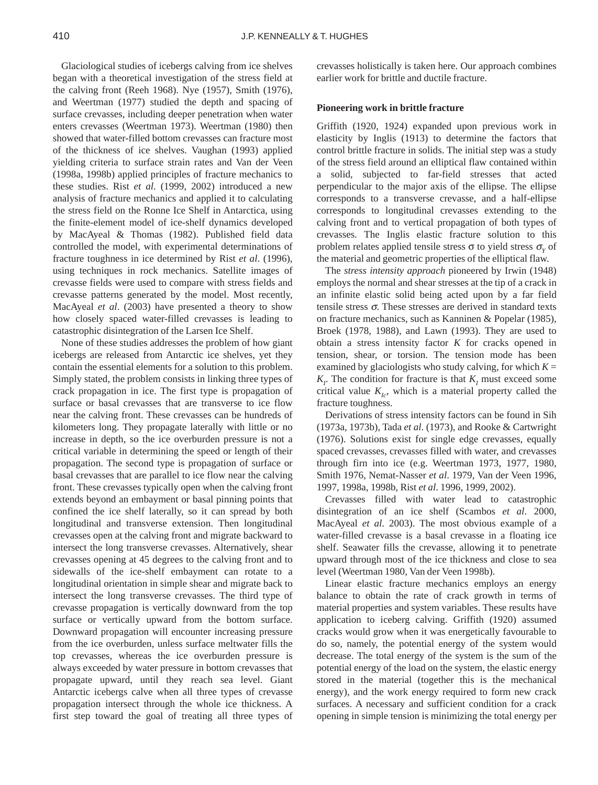Glaciological studies of icebergs calving from ice shelves began with a theoretical investigation of the stress field at the calving front (Reeh 1968). Nye (1957), Smith (1976), and Weertman (1977) studied the depth and spacing of surface crevasses, including deeper penetration when water enters crevasses (Weertman 1973). Weertman (1980) then showed that water-filled bottom crevasses can fracture most of the thickness of ice shelves. Vaughan (1993) applied yielding criteria to surface strain rates and Van der Veen (1998a, 1998b) applied principles of fracture mechanics to these studies. Rist *et al*. (1999, 2002) introduced a new analysis of fracture mechanics and applied it to calculating the stress field on the Ronne Ice Shelf in Antarctica, using the finite-element model of ice-shelf dynamics developed by MacAyeal & Thomas (1982). Published field data controlled the model, with experimental determinations of fracture toughness in ice determined by Rist *et al*. (1996), using techniques in rock mechanics. Satellite images of crevasse fields were used to compare with stress fields and crevasse patterns generated by the model. Most recently, MacAyeal *et al*. (2003) have presented a theory to show how closely spaced water-filled crevasses is leading to catastrophic disintegration of the Larsen Ice Shelf.

None of these studies addresses the problem of how giant icebergs are released from Antarctic ice shelves, yet they contain the essential elements for a solution to this problem. Simply stated, the problem consists in linking three types of crack propagation in ice. The first type is propagation of surface or basal crevasses that are transverse to ice flow near the calving front. These crevasses can be hundreds of kilometers long. They propagate laterally with little or no increase in depth, so the ice overburden pressure is not a critical variable in determining the speed or length of their propagation. The second type is propagation of surface or basal crevasses that are parallel to ice flow near the calving front. These crevasses typically open when the calving front extends beyond an embayment or basal pinning points that confined the ice shelf laterally, so it can spread by both longitudinal and transverse extension. Then longitudinal crevasses open at the calving front and migrate backward to intersect the long transverse crevasses. Alternatively, shear crevasses opening at 45 degrees to the calving front and to sidewalls of the ice-shelf embayment can rotate to a longitudinal orientation in simple shear and migrate back to intersect the long transverse crevasses. The third type of crevasse propagation is vertically downward from the top surface or vertically upward from the bottom surface. Downward propagation will encounter increasing pressure from the ice overburden, unless surface meltwater fills the top crevasses, whereas the ice overburden pressure is always exceeded by water pressure in bottom crevasses that propagate upward, until they reach sea level. Giant Antarctic icebergs calve when all three types of crevasse propagation intersect through the whole ice thickness. A first step toward the goal of treating all three types of

crevasses holistically is taken here. Our approach combines earlier work for brittle and ductile fracture.

## **Pioneering work in brittle fracture**

Griffith (1920, 1924) expanded upon previous work in elasticity by Inglis (1913) to determine the factors that control brittle fracture in solids. The initial step was a study of the stress field around an elliptical flaw contained within a solid, subjected to far-field stresses that acted perpendicular to the major axis of the ellipse. The ellipse corresponds to a transverse crevasse, and a half-ellipse corresponds to longitudinal crevasses extending to the calving front and to vertical propagation of both types of crevasses. The Inglis elastic fracture solution to this problem relates applied tensile stress  $\sigma$  to yield stress  $\sigma_y$  of the material and geometric properties of the elliptical flaw.

The *stress intensity approach* pioneered by Irwin (1948) employs the normal and shear stresses at the tip of a crack in an infinite elastic solid being acted upon by a far field tensile stress  $\sigma$ . These stresses are derived in standard texts on fracture mechanics, such as Kanninen & Popelar (1985), Broek (1978, 1988), and Lawn (1993). They are used to obtain a stress intensity factor *K* for cracks opened in tension, shear, or torsion. The tension mode has been examined by glaciologists who study calving, for which  $K =$  $K<sub>I</sub>$ . The condition for fracture is that  $K<sub>I</sub>$  must exceed some critical value  $K_{Ic}$ , which is a material property called the fracture toughness.

Derivations of stress intensity factors can be found in Sih (1973a, 1973b), Tada *et al*. (1973), and Rooke & Cartwright (1976). Solutions exist for single edge crevasses, equally spaced crevasses, crevasses filled with water, and crevasses through firn into ice (e.g. Weertman 1973, 1977, 1980, Smith 1976, Nemat-Nasser *et al*. 1979, Van der Veen 1996, 1997, 1998a, 1998b, Rist *et al*. 1996, 1999, 2002).

Crevasses filled with water lead to catastrophic disintegration of an ice shelf (Scambos *et al*. 2000, MacAyeal *et al*. 2003). The most obvious example of a water-filled crevasse is a basal crevasse in a floating ice shelf. Seawater fills the crevasse, allowing it to penetrate upward through most of the ice thickness and close to sea level (Weertman 1980, Van der Veen 1998b).

Linear elastic fracture mechanics employs an energy balance to obtain the rate of crack growth in terms of material properties and system variables. These results have application to iceberg calving. Griffith (1920) assumed cracks would grow when it was energetically favourable to do so, namely, the potential energy of the system would decrease. The total energy of the system is the sum of the potential energy of the load on the system, the elastic energy stored in the material (together this is the mechanical energy), and the work energy required to form new crack surfaces. A necessary and sufficient condition for a crack opening in simple tension is minimizing the total energy per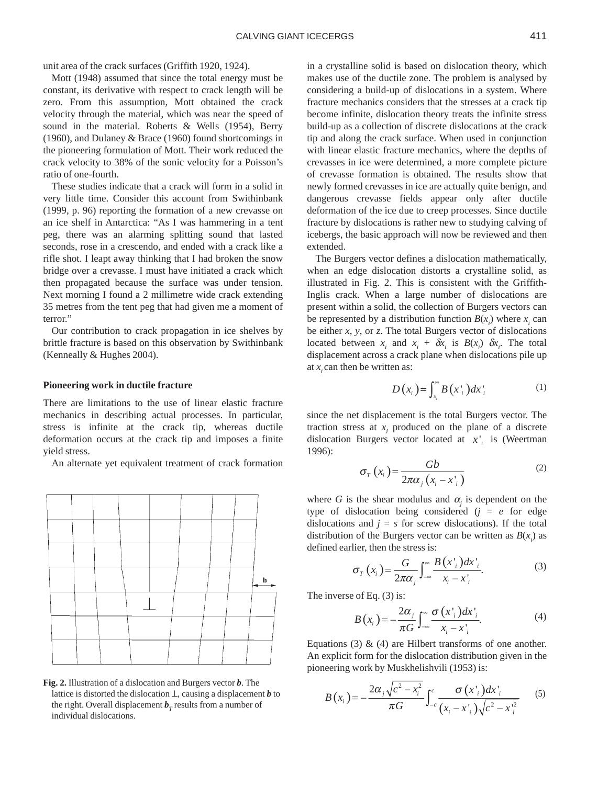unit area of the crack surfaces (Griffith 1920, 1924).

Mott (1948) assumed that since the total energy must be constant, its derivative with respect to crack length will be zero. From this assumption, Mott obtained the crack velocity through the material, which was near the speed of sound in the material. Roberts & Wells (1954), Berry (1960), and Dulaney & Brace (1960) found shortcomings in the pioneering formulation of Mott. Their work reduced the crack velocity to 38% of the sonic velocity for a Poisson's ratio of one-fourth.

These studies indicate that a crack will form in a solid in very little time. Consider this account from Swithinbank (1999, p. 96) reporting the formation of a new crevasse on an ice shelf in Antarctica: "As I was hammering in a tent peg, there was an alarming splitting sound that lasted seconds, rose in a crescendo, and ended with a crack like a rifle shot. I leapt away thinking that I had broken the snow bridge over a crevasse. I must have initiated a crack which then propagated because the surface was under tension. Next morning I found a 2 millimetre wide crack extending 35 metres from the tent peg that had given me a moment of terror."

Our contribution to crack propagation in ice shelves by brittle fracture is based on this observation by Swithinbank (Kenneally & Hughes 2004).

#### **Pioneering work in ductile fracture**

There are limitations to the use of linear elastic fracture mechanics in describing actual processes. In particular, stress is infinite at the crack tip, whereas ductile deformation occurs at the crack tip and imposes a finite yield stress.

An alternate yet equivalent treatment of crack formation



**Fig. 2.** Illustration of a dislocation and Burgers vector *b*. The lattice is distorted the dislocation ⊥, causing a displacement *b* to the right. Overall displacement  $\mathbf{b}_\tau$  results from a number of individual dislocations.

in a crystalline solid is based on dislocation theory, which makes use of the ductile zone. The problem is analysed by considering a build-up of dislocations in a system. Where fracture mechanics considers that the stresses at a crack tip become infinite, dislocation theory treats the infinite stress build-up as a collection of discrete dislocations at the crack tip and along the crack surface. When used in conjunction with linear elastic fracture mechanics, where the depths of crevasses in ice were determined, a more complete picture of crevasse formation is obtained. The results show that newly formed crevasses in ice are actually quite benign, and dangerous crevasse fields appear only after ductile deformation of the ice due to creep processes. Since ductile fracture by dislocations is rather new to studying calving of icebergs, the basic approach will now be reviewed and then extended.

The Burgers vector defines a dislocation mathematically, when an edge dislocation distorts a crystalline solid, as illustrated in Fig. 2. This is consistent with the Griffith-Inglis crack. When a large number of dislocations are present within a solid, the collection of Burgers vectors can be represented by a distribution function  $B(x_i)$  where  $x_i$  can be either *x*, *y*, or *z*. The total Burgers vector of dislocations located between  $x_i$  and  $x_i + \delta x_i$  is  $B(x_i) \delta x_i$ . The total displacement across a crack plane when dislocations pile up at  $x_i$  can then be written as:

$$
D(x_i) = \int_{x_i}^{\infty} B(x_i) dx_i
$$
 (1)

since the net displacement is the total Burgers vector. The traction stress at  $x_i$  produced on the plane of a discrete dislocation Burgers vector located at  $x'$ , is (Weertman 1996):

$$
\sigma_{T}\left(x_{i}\right)=\frac{Gb}{2\pi\alpha_{j}\left(x_{i}-x_{i}^{\prime}\right)}
$$
\n(2)

where *G* is the shear modulus and  $\alpha$ <sub>i</sub> is dependent on the type of dislocation being considered  $(j = e$  for edge dislocations and  $j = s$  for screw dislocations). If the total distribution of the Burgers vector can be written as  $B(x_i)$  as defined earlier, then the stress is:

$$
\sigma_{T}\left(x_{i}\right) = \frac{G}{2\pi\alpha_{j}}\int_{-\infty}^{\infty}\frac{B\left(x_{i}\right)dx_{i}}{x_{i}-x_{i}^{i}}.\tag{3}
$$

The inverse of Eq. (3) is:

$$
B(x_i) = -\frac{2\alpha_j}{\pi G} \int_{-\infty}^{\infty} \frac{\sigma(x_i) dx_i}{x_i - x_i}.
$$
 (4)

Equations (3)  $\&$  (4) are Hilbert transforms of one another. An explicit form for the dislocation distribution given in the pioneering work by Muskhelishvili (1953) is:

$$
B(x_i) = -\frac{2\alpha_j \sqrt{c^2 - x_i^2}}{\pi G} \int_{-c}^{c} \frac{\sigma(x_i) dx_i}{(x_i - x_i) \sqrt{c^2 - x_i^2}} \qquad (5)
$$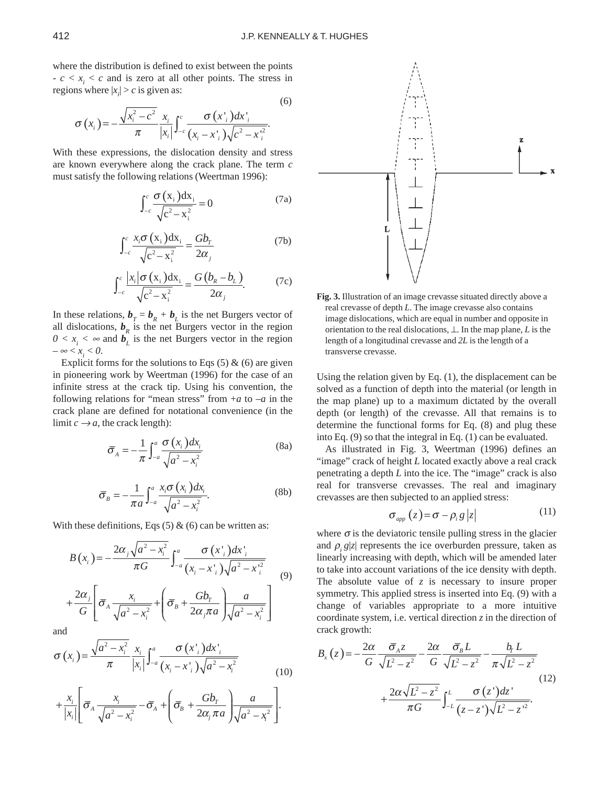where the distribution is defined to exist between the points *- c* < *xi* < *c* and is zero at all other points. The stress in regions where  $|x_i| > c$  is given as:

(6)  
\n
$$
\sigma(x_i) = -\frac{\sqrt{x_i^2 - c^2}}{\pi} \frac{x_i}{|x_i|} \int_{-c}^{c} \frac{\sigma(x_i) dx_i}{(x_i - x_i) \sqrt{c^2 - x_i^2}}.
$$

With these expressions, the dislocation density and stress are known everywhere along the crack plane. The term *c* must satisfy the following relations (Weertman 1996):

$$
\int_{-c}^{c} \frac{\sigma(x_{i}) dx_{i}}{\sqrt{c^{2} - x_{i}^{2}}} = 0
$$
 (7a)

$$
\int_{-c}^{c} \frac{x_i \sigma(x_i) dx_i}{\sqrt{c^2 - x_i^2}} = \frac{Gb_r}{2\alpha_j}
$$
(7b)

$$
\int_{-c}^{c} \frac{|x_i|\sigma(x_i)dx_i}{\sqrt{c^2 - x_i^2}} = \frac{G(b_R - b_L)}{2\alpha_j}.
$$
 (7c)

In these relations,  $\boldsymbol{b}_T = \boldsymbol{b}_R + \boldsymbol{b}_L$  is the net Burgers vector of all dislocations,  $\mathbf{b}_R$  is the net Burgers vector in the region  $0 < x_i < \infty$  and  $b_L$  is the net Burgers vector in the region  $-\infty < x_i < 0$ .

Explicit forms for the solutions to Eqs  $(5)$  &  $(6)$  are given in pioneering work by Weertman (1996) for the case of an infinite stress at the crack tip. Using his convention, the following relations for "mean stress" from  $+a$  to  $-a$  in the crack plane are defined for notational convenience (in the limit  $c \rightarrow a$ , the crack length):

$$
\overline{\sigma}_A = -\frac{1}{\pi} \int_{-a}^{a} \frac{\sigma(x_i) dx_i}{\sqrt{a^2 - x_i^2}} \tag{8a}
$$

$$
\overline{\sigma}_B = -\frac{1}{\pi a} \int_{-a}^{a} \frac{x_i \sigma(x_i) dx_i}{\sqrt{a^2 - x_i^2}}.
$$
 (8b)

With these definitions, Eqs  $(5)$  &  $(6)$  can be written as:

$$
B(x_i) = -\frac{2\alpha_j \sqrt{a^2 - x_i^2}}{\pi G} \int_{-a}^{a} \frac{\sigma(x_i) dx_i}{(x_i - x_i) \sqrt{a^2 - x_i^2}} + \frac{2\alpha_j}{G} \left[ \overline{\sigma}_A \frac{x_i}{\sqrt{a^2 - x_i^2}} + \left( \overline{\sigma}_B + \frac{Gb_r}{2\alpha_j \pi a} \right) \frac{a}{\sqrt{a^2 - x_i^2}} \right]
$$
(9)

and

$$
\sigma(x_i) = \frac{\sqrt{a^2 - x_i^2} x_i}{\pi} \int_{-a}^{a} \frac{\sigma(x_i) dx_i}{(x_i - x_i) \sqrt{a^2 - x_i^2}}
$$
(10)

$$
+\frac{x_i}{|x_i|}\left[\overline{\sigma}_A \frac{x_i}{\sqrt{a^2-x_i^2}} - \overline{\sigma}_A + \left(\overline{\sigma}_B + \frac{Gb_r}{2\alpha_j \pi a}\right) \frac{a}{\sqrt{a^2-x_i^2}}\right].
$$



**Fig. 3.** Illustration of an image crevasse situated directly above a real crevasse of depth *L*. The image crevasse also contains image dislocations, which are equal in number and opposite in orientation to the real dislocations, ⊥. In the map plane, *L* is the length of a longitudinal crevasse and *2L* is the length of a transverse crevasse.

Using the relation given by Eq. (1), the displacement can be solved as a function of depth into the material (or length in the map plane) up to a maximum dictated by the overall depth (or length) of the crevasse. All that remains is to determine the functional forms for Eq. (8) and plug these into Eq. (9) so that the integral in Eq. (1) can be evaluated.

As illustrated in Fig. 3, Weertman (1996) defines an "image" crack of height *L* located exactly above a real crack penetrating a depth *L* into the ice. The "image" crack is also real for transverse crevasses. The real and imaginary crevasses are then subjected to an applied stress:

$$
\sigma_{app}(z) = \sigma - \rho_i g |z| \tag{11}
$$

where  $\sigma$  is the deviatoric tensile pulling stress in the glacier and  $\rho$ <sub>*i*</sub> $g|z|$  represents the ice overburden pressure, taken as linearly increasing with depth, which will be amended later to take into account variations of the ice density with depth. The absolute value of *z* is necessary to insure proper symmetry. This applied stress is inserted into Eq. (9) with a change of variables appropriate to a more intuitive coordinate system, i.e. vertical direction *z* in the direction of crack growth:

$$
B_x(z) = -\frac{2\alpha}{G} \frac{\overline{\sigma}_A z}{\sqrt{L^2 - z^2}} - \frac{2\alpha}{G} \frac{\overline{\sigma}_B L}{\sqrt{L^2 - z^2}} - \frac{b_r L}{\pi \sqrt{L^2 - z^2}} + \frac{2\alpha \sqrt{L^2 - z^2}}{\pi G} \int_{-L}^{L} \frac{\sigma(z^r) dz^r}{(z - z^r) \sqrt{L^2 - z^r^2}}.
$$
\n(12)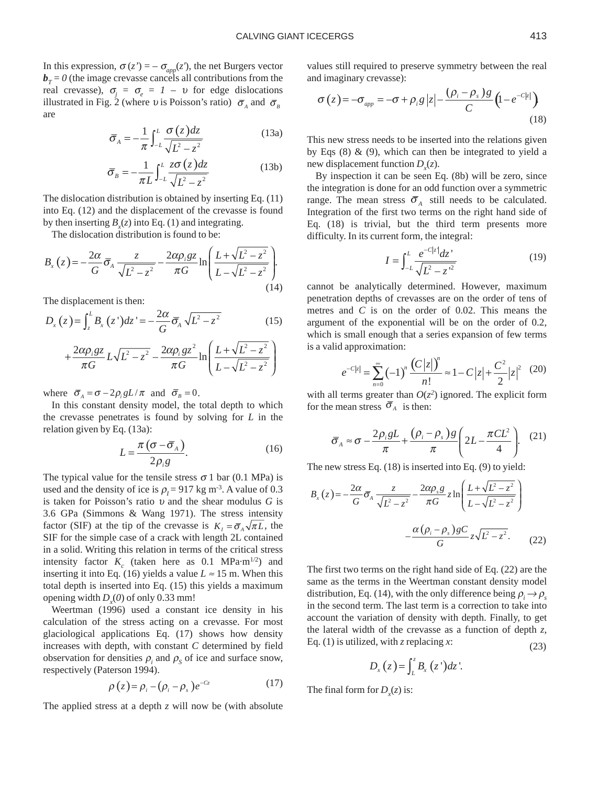In this expression,  $\sigma(z') = -\sigma_{app}(z')$ , the net Burgers vector  **(the image crevasse cancels all contributions from the** real crevasse),  $\sigma_i = \sigma_a = 1 - \nu$  for edge dislocations illustrated in Fig. 2 (where v is Poisson's ratio)  $\bar{\sigma}_A$  and  $\bar{\sigma}_B$ are

$$
\overline{\sigma}_A = -\frac{1}{\pi} \int_{-L}^{L} \frac{\sigma(z)dz}{\sqrt{L^2 - z^2}}
$$
(13a)

$$
\overline{\sigma}_B = -\frac{1}{\pi L} \int_{-L}^{L} \frac{z \sigma(z) dz}{\sqrt{L^2 - z^2}}
$$
 (13b)

The dislocation distribution is obtained by inserting Eq. (11) into Eq. (12) and the displacement of the crevasse is found by then inserting  $B_x(z)$  into Eq. (1) and integrating.

The dislocation distribution is found to be:

$$
B_x(z) = -\frac{2\alpha}{G}\overline{\sigma}_A \frac{z}{\sqrt{L^2 - z^2}} - \frac{2\alpha \rho_i gz}{\pi G} \ln\left(\frac{L + \sqrt{L^2 - z^2}}{L - \sqrt{L^2 - z^2}}\right).
$$
\n(14)

The displacement is then:

$$
D_x(z) = \int_z^L B_x(z')dz' = -\frac{2\alpha}{G}\overline{\sigma}_A\sqrt{L^2 - z^2} \qquad (15)
$$

$$
+ \frac{2\alpha\rho_i gz}{\pi G}L\sqrt{L^2 - z^2} - \frac{2\alpha\rho_i gz^2}{\pi G}\ln\left(\frac{L + \sqrt{L^2 - z^2}}{L - \sqrt{L^2 - z^2}}\right)
$$

where  $\bar{\sigma}_A = \sigma - 2\rho_i g L / \pi$  and  $\bar{\sigma}_B = 0$ .

In this constant density model, the total depth to which the crevasse penetrates is found by solving for *L* in the relation given by Eq. (13a):

$$
L = \frac{\pi \left(\sigma - \overline{\sigma}_{A}\right)}{2\rho_{i}g}.
$$
 (16)

The typical value for the tensile stress  $\sigma$  1 bar (0.1 MPa) is used and the density of ice is  $\rho_1 = 917$  kg m<sup>-3</sup>. A value of 0.3 is taken for Poisson's ratio <sup>υ</sup> and the shear modulus *G* is 3.6 GPa (Simmons & Wang 1971). The stress intensity factor (SIF) at the tip of the crevasse is  $K_i = \overline{\sigma}_A \sqrt{\pi} L$ , the SIF for the simple case of a crack with length 2L contained in a solid. Writing this relation in terms of the critical stress intensity factor  $K_c$  (taken here as 0.1 MPa·m<sup>1/2</sup>) and inserting it into Eq. (16) yields a value  $L \approx 15$  m. When this total depth is inserted into Eq. (15) this yields a maximum opening width  $D_x(0)$  of only 0.33 mm!

Weertman (1996) used a constant ice density in his calculation of the stress acting on a crevasse. For most glaciological applications Eq. (17) shows how density increases with depth, with constant *C* determined by field observation for densities  $\rho_i$  and  $\rho_s$  of ice and surface snow, respectively (Paterson 1994).

$$
\rho(z) = \rho_i - (\rho_i - \rho_s)e^{-cz} \tag{17}
$$

The applied stress at a depth *z* will now be (with absolute

values still required to preserve symmetry between the real and imaginary crevasse):

$$
\sigma(z) = -\sigma_{app} = -\sigma + \rho_i g |z| - \frac{(\rho_i - \rho_s) g}{C} (1 - e^{-c|z|})
$$
\n(18)

This new stress needs to be inserted into the relations given by Eqs  $(8)$  &  $(9)$ , which can then be integrated to yield a new displacement function  $D_x(z)$ .

By inspection it can be seen Eq. (8b) will be zero, since the integration is done for an odd function over a symmetric range. The mean stress  $\bar{\sigma}_A$  still needs to be calculated. Integration of the first two terms on the right hand side of Eq. (18) is trivial, but the third term presents more difficulty. In its current form, the integral:

$$
I = \int_{-L}^{L} \frac{e^{-C|z|} dz'}{\sqrt{L^2 - z'^2}}
$$
(19)

cannot be analytically determined. However, maximum penetration depths of crevasses are on the order of tens of metres and *C* is on the order of 0.02. This means the argument of the exponential will be on the order of 0.2, which is small enough that a series expansion of few terms is a valid approximation:

$$
e^{-C|z|} = \sum_{n=0}^{\infty} (-1)^n \frac{\left(C|z|\right)^n}{n!} \approx 1 - C|z| + \frac{C^2}{2}|z|^2 \quad (20)
$$

with all terms greater than  $O(z^2)$  ignored. The explicit form for the mean stress  $\sigma_A$  is then:

$$
\overline{\sigma}_A \approx \sigma - \frac{2\rho_i gL}{\pi} + \frac{(\rho_i - \rho_s)g}{\pi} \left( 2L - \frac{\pi CL^2}{4} \right). \quad (21)
$$

The new stress Eq. (18) is inserted into Eq. (9) to yield:

$$
B_x(z) = -\frac{2\alpha}{G}\overline{\sigma}_A \frac{z}{\sqrt{L^2 - z^2}} - \frac{2\alpha \rho_s g}{\pi G} z \ln\left(\frac{L + \sqrt{L^2 - z^2}}{L - \sqrt{L^2 - z^2}}\right)
$$

$$
-\frac{\alpha (\rho_i - \rho_s) g C}{G} z \sqrt{L^2 - z^2}.
$$
(22)

The first two terms on the right hand side of Eq. (22) are the same as the terms in the Weertman constant density model distribution, Eq. (14), with the only difference being  $\rho_i \rightarrow \rho_s$ in the second term. The last term is a correction to take into account the variation of density with depth. Finally, to get the lateral width of the crevasse as a function of depth *z*, Eq. (1) is utilized, with *z* replacing *x*: (23)

$$
D_{x}(z)=\int_{L}^{z}B_{x}(z')dz'.
$$

The final form for  $D_x(z)$  is: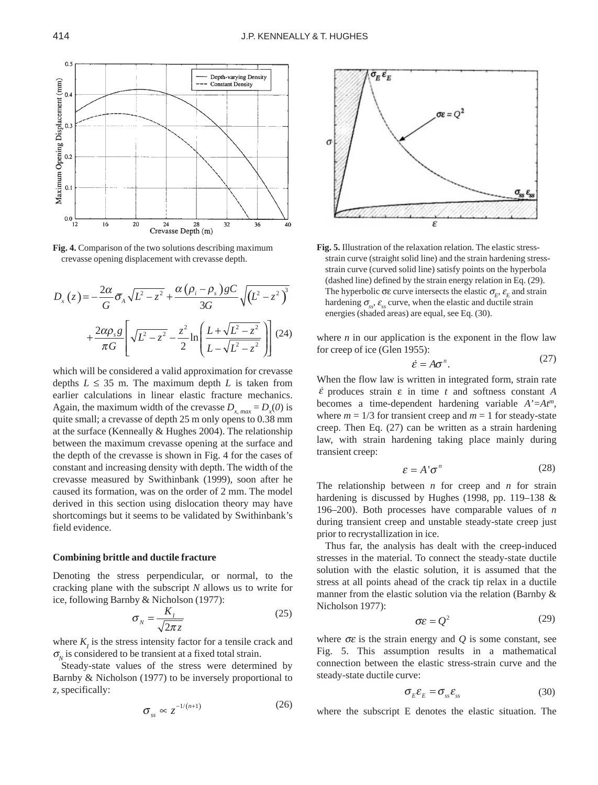

**Fig. 4.** Comparison of the two solutions describing maximum crevasse opening displacement with crevasse depth.

$$
D_x(z) = -\frac{2\alpha}{G}\overline{\sigma}_A\sqrt{L^2 - z^2} + \frac{\alpha(\rho_i - \rho_s)gC}{3G}\sqrt{(L^2 - z^2)^3} + \frac{2\alpha\rho_s g}{\pi G}\left[\sqrt{L^2 - z^2} - \frac{z^2}{2}\ln\left(\frac{L + \sqrt{L^2 - z^2}}{L - \sqrt{L^2 - z^2}}\right)\right] (24)
$$

which will be considered a valid approximation for crevasse depths  $L \leq 35$  m. The maximum depth *L* is taken from earlier calculations in linear elastic fracture mechanics. Again, the maximum width of the crevasse  $D_{x, max} = D_x(0)$  is quite small; a crevasse of depth 25 m only opens to 0.38 mm at the surface (Kenneally & Hughes 2004). The relationship between the maximum crevasse opening at the surface and the depth of the crevasse is shown in Fig. 4 for the cases of constant and increasing density with depth. The width of the crevasse measured by Swithinbank (1999), soon after he caused its formation, was on the order of 2 mm. The model derived in this section using dislocation theory may have shortcomings but it seems to be validated by Swithinbank's field evidence.

#### **Combining brittle and ductile fracture**

Denoting the stress perpendicular, or normal, to the cracking plane with the subscript *N* allows us to write for ice, following Barnby & Nicholson (1977):

$$
\sigma_N = \frac{K_I}{\sqrt{2\pi z}}\tag{25}
$$

where  $K<sub>i</sub>$  is the stress intensity factor for a tensile crack and  $\sigma_{N}$  is considered to be transient at a fixed total strain.

Steady-state values of the stress were determined by Barnby & Nicholson (1977) to be inversely proportional to *z*, specifically:

$$
\sigma_{ss} \propto z^{-1/(n+1)}
$$
 (26)



**Fig. 5.** Illustration of the relaxation relation. The elastic stressstrain curve (straight solid line) and the strain hardening stressstrain curve (curved solid line) satisfy points on the hyperbola (dashed line) defined by the strain energy relation in Eq. (29). The hyperbolic σε curve intersects the elastic  $\sigma_F$ ,  $\varepsilon_F$  and strain hardening  $\sigma_{ss}$ ,  $\varepsilon_{ss}$  curve, when the elastic and ductile strain energies (shaded areas) are equal, see Eq. (30).

where  $n$  in our application is the exponent in the flow law for creep of ice (Glen 1955): (27)

$$
\dot{\varepsilon} = A\sigma^n. \tag{27}
$$

When the flow law is written in integrated form, strain rate  $\dot{\varepsilon}$  produces strain  $\varepsilon$  in time  $t$  and softness constant *A* becomes a time-dependent hardening variable *A'=Atm*, where  $m = 1/3$  for transient creep and  $m = 1$  for steady-state creep. Then Eq. (27) can be written as a strain hardening law, with strain hardening taking place mainly during transient creep:

$$
\varepsilon = A' \sigma^n \tag{28}
$$

The relationship between *n* for creep and *n* for strain hardening is discussed by Hughes (1998, pp. 119–138 & 196–200). Both processes have comparable values of *n* during transient creep and unstable steady-state creep just prior to recrystallization in ice.

Thus far, the analysis has dealt with the creep-induced stresses in the material. To connect the steady-state ductile solution with the elastic solution, it is assumed that the stress at all points ahead of the crack tip relax in a ductile manner from the elastic solution via the relation (Barnby & Nicholson 1977):

$$
\sigma \varepsilon = Q^2 \tag{29}
$$

where  $\sigma \varepsilon$  is the strain energy and *Q* is some constant, see Fig. 5. This assumption results in a mathematical connection between the elastic stress-strain curve and the steady-state ductile curve:

$$
\sigma_E \varepsilon_E = \sigma_{ss} \varepsilon_{ss} \tag{30}
$$

where the subscript E denotes the elastic situation. The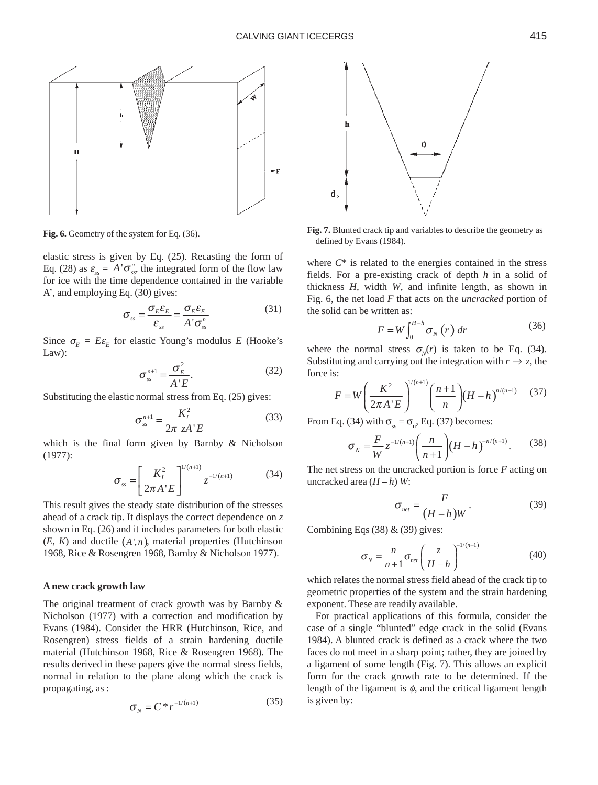

elastic stress is given by Eq. (25). Recasting the form of Eq. (28) as  $\varepsilon_{ss} = A' \sigma_{ss}^n$ , the integrated form of the flow law for ice with the time dependence contained in the variable A', and employing Eq. (30) gives:

$$
\sigma_{ss} = \frac{\sigma_E \varepsilon_E}{\varepsilon_{ss}} = \frac{\sigma_E \varepsilon_E}{A' \sigma_{ss}^n}
$$
(31)

Since  $\sigma_F = E \varepsilon_F$  for elastic Young's modulus *E* (Hooke's Law):

$$
\sigma_{ss}^{n+1} = \frac{\sigma_E^2}{A^{\prime} E}.
$$
\n(32)

Substituting the elastic normal stress from Eq. (25) gives:

$$
\sigma_{ss}^{n+1} = \frac{K_I^2}{2\pi \ zA'E} \tag{33}
$$

which is the final form given by Barnby & Nicholson (1977):

$$
\sigma_{ss} = \left[\frac{K_I^2}{2\pi A^T E}\right]^{1/(n+1)} z^{-1/(n+1)}
$$
(34)

This result gives the steady state distribution of the stresses ahead of a crack tip. It displays the correct dependence on *z* shown in Eq. (26) and it includes parameters for both elastic  $(E, K)$  and ductile  $(A', n)$ , material properties (Hutchinson 1968, Rice & Rosengren 1968, Barnby & Nicholson 1977).

#### **A new crack growth law**

The original treatment of crack growth was by Barnby & Nicholson (1977) with a correction and modification by Evans (1984). Consider the HRR (Hutchinson, Rice, and Rosengren) stress fields of a strain hardening ductile material (Hutchinson 1968, Rice & Rosengren 1968). The results derived in these papers give the normal stress fields, normal in relation to the plane along which the crack is propagating, as :

$$
\sigma_N = C \cdot r^{-1/(n+1)} \tag{35}
$$



Fig. **6.** Geometry of the system for Eq. (36). **Fig. 7.** Blunted crack tip and variables to describe the geometry as defined by Evans (1984).

where  $C^*$  is related to the energies contained in the stress fields. For a pre-existing crack of depth *h* in a solid of thickness *H*, width *W*, and infinite length, as shown in Fig. 6, the net load *F* that acts on the *uncracked* portion of the solid can be written as:

$$
F = W \int_0^{H-h} \sigma_N(r) dr \tag{36}
$$

where the normal stress  $\sigma_{N}(r)$  is taken to be Eq. (34). Substituting and carrying out the integration with  $r \rightarrow z$ , the force is:

$$
F = W \left(\frac{K^2}{2\pi A' E}\right)^{1/(n+1)} \left(\frac{n+1}{n}\right) (H - h)^{n/(n+1)} \quad (37)
$$

From Eq. (34) with  $\sigma_{ss} = \sigma_n$ , Eq. (37) becomes:

$$
\sigma_N = \frac{F}{W} z^{-1/(n+1)} \left( \frac{n}{n+1} \right) (H - h)^{-n/(n+1)}.
$$
 (38)

The net stress on the uncracked portion is force *F* acting on uncracked area (*H – h*) *W*:

$$
\sigma_{net} = \frac{F}{(H-h)W}.
$$
\n(39)

Combining Eqs  $(38)$  &  $(39)$  gives:

$$
\sigma_N = \frac{n}{n+1} \sigma_{net} \left( \frac{z}{H-h} \right)^{-1/(n+1)}
$$
(40)

which relates the normal stress field ahead of the crack tip to geometric properties of the system and the strain hardening exponent. These are readily available.

For practical applications of this formula, consider the case of a single "blunted" edge crack in the solid (Evans 1984). A blunted crack is defined as a crack where the two faces do not meet in a sharp point; rather, they are joined by a ligament of some length (Fig. 7). This allows an explicit form for the crack growth rate to be determined. If the length of the ligament is  $\phi$ , and the critical ligament length is given by: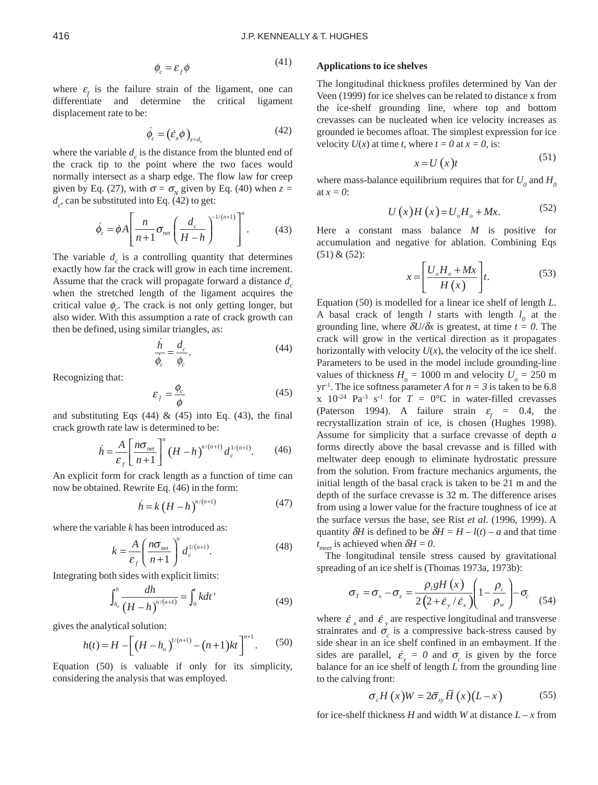$(41)$ 

$$
\phi_{c} = \varepsilon_{f} \phi \tag{41}
$$

where  $\varepsilon_f$  is the failure strain of the ligament, one can differentiate and determine the critical ligament displacement rate to be:

$$
\dot{\phi}_c = \left(\dot{\varepsilon}_n \phi\right)_{z=d_c} \tag{42}
$$

where the variable  $d_{\alpha}$  is the distance from the blunted end of the crack tip to the point where the two faces would normally intersect as a sharp edge. The flow law for creep given by Eq. (27), with  $\sigma = \sigma_N$  given by Eq. (40) when  $z =$  $d_c$ , can be substituted into Eq. (42) to get:

$$
\dot{\phi}_c = \phi A \left[ \frac{n}{n+1} \sigma_{net} \left( \frac{d_c}{H-h} \right)^{-1/(n+1)} \right]^n.
$$
 (43)

The variable  $d_c$  is a controlling quantity that determines exactly how far the crack will grow in each time increment. Assume that the crack will propagate forward a distance  $d<sub>s</sub>$ when the stretched length of the ligament acquires the critical value  $\phi_c$ . The crack is not only getting longer, but also wider. With this assumption a rate of crack growth can then be defined, using similar triangles, as:

$$
\frac{\dot{h}}{\dot{\phi}_c} = \frac{d_c}{\phi_c}.
$$
\n(44)

Recognizing that:

$$
\varepsilon_f = \frac{\phi_c}{\phi} \tag{45}
$$

and substituting Eqs  $(44)$  &  $(45)$  into Eq.  $(43)$ , the final crack growth rate law is determined to be:

$$
\dot{h} = \frac{A}{\varepsilon_f} \left[ \frac{n \sigma_{\text{net}}}{n+1} \right]^n \left( H - h \right)^{n/(n+1)} d_c^{1/(n+1)}.
$$
 (46)

An explicit form for crack length as a function of time can now be obtained. Rewrite Eq. (46) in the form:

$$
\dot{h} = k \left( H - h \right)^{n/(n+1)} \tag{47}
$$

where the variable *k* has been introduced as:

$$
k = \frac{A}{\varepsilon_f} \left( \frac{n \sigma_{\text{net}}}{n+1} \right)^n d_c^{1/(n+1)}.
$$
 (48)

Integrating both sides with explicit limits:

$$
\int_{h_o}^{h} \frac{dh}{(H - h)^{n/(n+1)}} = \int_0^t k dt
$$
\n(49)

gives the analytical solution:

$$
h(t) = H - \left[ \left( H - h_o \right)^{1/(n+1)} - \left( n+1 \right) kt \right]^{n+1} . \tag{50}
$$

Equation (50) is valuable if only for its simplicity, considering the analysis that was employed.

#### Applications to ice shelves

The longitudinal thickness profiles determined by Van der Veen (1999) for ice shelves can be related to distance x from the ice-shelf grounding line, where top and bottom crevasses can be nucleated when ice velocity increases as grounded ie becomes afloat. The simplest expression for ice velocity  $U(x)$  at time *t*, where  $t = 0$  at  $x = 0$ , is:

$$
x = U\left(x\right)t\tag{51}
$$

 $(5.1)$ 

where mass-balance equilibrium requires that for  $U_0$  and  $H_0$ at  $x = 0$ :

$$
U\left(x\right)H\left(x\right) = U_o H_o + Mx.\tag{52}
$$

Here a constant mass balance *M* is positive for accumulation and negative for ablation. Combining Eqs (51) & (52):

$$
x = \left[\frac{U_o H_o + Mx}{H(x)}\right]t.
$$
 (53)

Equation (50) is modelled for a linear ice shelf of length *L*. A basal crack of length  $l$  starts with length  $l_0$  at the grounding line, where  $\delta U/\delta x$  is greatest, at time  $t = 0$ . The crack will grow in the vertical direction as it propagates horizontally with velocity  $U(x)$ , the velocity of the ice shelf. Parameters to be used in the model include grounding-line values of thickness  $H_0 = 1000$  m and velocity  $U_0 = 250$  m  $yr^{-1}$ . The ice softness parameter *A* for  $n = 3$  is taken to be 6.8 x  $10^{-24}$  Pa<sup>-3</sup> s<sup>-1</sup> for  $T = 0$ °C in water-filled crevasses (Paterson 1994). A failure strain  $\varepsilon$ <sub>*f*</sub> = 0.4, the recrystallization strain of ice, is chosen (Hughes 1998). Assume for simplicity that a surface crevasse of depth *a* forms directly above the basal crevasse and is filled with meltwater deep enough to eliminate hydrostatic pressure from the solution. From fracture mechanics arguments, the initial length of the basal crack is taken to be 21 m and the depth of the surface crevasse is 32 m. The difference arises from using a lower value for the fracture toughness of ice at the surface versus the base, see Rist *et al*. (1996, 1999). A quantity  $\delta H$  is defined to be  $\delta H = H - l(t) - a$  and that time  $t_{meet}$  is achieved when  $\delta H = 0$ .

The longitudinal tensile stress caused by gravitational spreading of an ice shelf is (Thomas 1973a, 1973b):

$$
\sigma_{\scriptscriptstyle T} = \sigma_{\scriptscriptstyle x} - \sigma_{\scriptscriptstyle z} = \frac{\rho_{\scriptscriptstyle i} g H\left(x\right)}{2\left(2+\dot{\varepsilon}_{\scriptscriptstyle y}/\dot{\varepsilon}_{\scriptscriptstyle x}\right)} \left(1-\frac{\rho_{\scriptscriptstyle i}}{\rho_{\scriptscriptstyle w}}\right) - \sigma_{\scriptscriptstyle c} \quad (54)
$$

where  $\dot{\mathcal{E}}_x$  and  $\dot{\mathcal{E}}_y$  are respective longitudinal and transverse strainrates and  $\sigma$  is a compressive back-stress caused by side shear in an ice shelf confined in an embayment. If the sides are parallel,  $\dot{\mathcal{E}}_y = 0$  and  $\sigma_c$  is given by the force balance for an ice shelf of length *L* from the grounding line to the calving front:

$$
\sigma_c H\left(x\right) W = 2\overline{\sigma}_{xy} \overline{H}\left(x\right)\left(L - x\right) \tag{55}
$$

for ice-shelf thickness *H* and width *W* at distance *L – x* from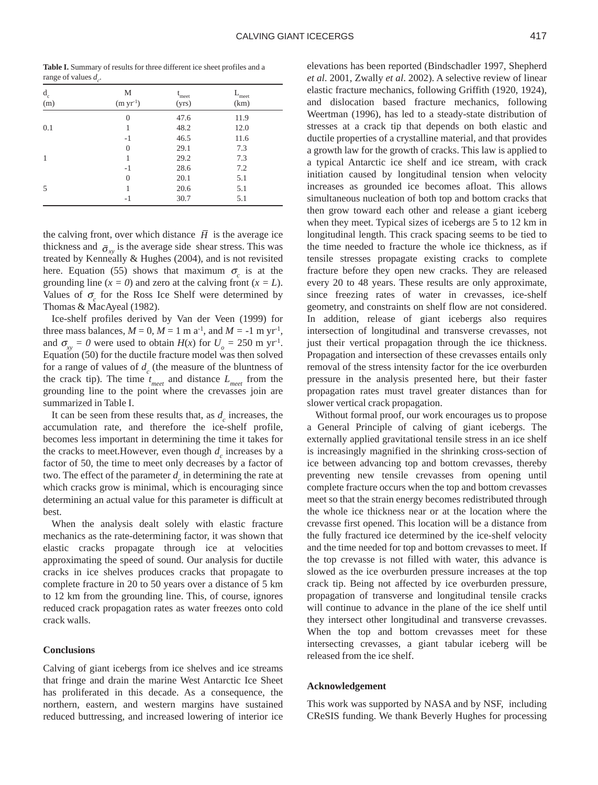**Table I.** Summary of results for three different ice sheet profiles and a range of values  $d_c$ .

| $d_c$<br>(m) | M<br>$(m yr^{-1})$ | $t_{\text{meet}}$<br>(yrs) | meet<br>(km) |
|--------------|--------------------|----------------------------|--------------|
|              | $\Omega$           | 47.6                       | 11.9         |
| 0.1          |                    | 48.2                       | 12.0         |
|              | $-1$               | 46.5                       | 11.6         |
| 1            | $\overline{0}$     | 29.1                       | 7.3          |
|              |                    | 29.2                       | 7.3          |
|              | $-1$               | 28.6                       | 7.2          |
| 5            | $\Omega$           | 20.1                       | 5.1          |
|              |                    | 20.6                       | 5.1          |
|              | $-1$               | 30.7                       | 5.1          |

the calving front, over which distance  $\bar{H}$  is the average ice thickness and  $\bar{\sigma}_{xy}$  is the average side shear stress. This was treated by Kenneally & Hughes (2004), and is not revisited here. Equation (55) shows that maximum  $\sigma_c$  is at the grounding line  $(x = 0)$  and zero at the calving front  $(x = L)$ . Values of  $\sigma_c$  for the Ross Ice Shelf were determined by Thomas & MacAyeal (1982).

Ice-shelf profiles derived by Van der Veen (1999) for three mass balances,  $M = 0$ ,  $M = 1$  m a<sup>-1</sup>, and  $M = -1$  m yr<sup>-1</sup>, and  $\sigma_w = 0$  were used to obtain  $H(x)$  for  $U_o = 250$  m yr<sup>-1</sup>. Equation (50) for the ductile fracture model was then solved for a range of values of  $d<sub>a</sub>$  (the measure of the bluntness of the crack tip). The time  $t_{meet}$  and distance  $L_{meet}$  from the grounding line to the point where the crevasses join are summarized in Table I.

It can be seen from these results that, as  $d_c$  increases, the accumulation rate, and therefore the ice-shelf profile, becomes less important in determining the time it takes for the cracks to meet. However, even though  $d<sub>c</sub>$  increases by a factor of 50, the time to meet only decreases by a factor of two. The effect of the parameter  $d_{\alpha}$  in determining the rate at which cracks grow is minimal, which is encouraging since determining an actual value for this parameter is difficult at best.

When the analysis dealt solely with elastic fracture mechanics as the rate-determining factor, it was shown that elastic cracks propagate through ice at velocities approximating the speed of sound. Our analysis for ductile cracks in ice shelves produces cracks that propagate to complete fracture in 20 to 50 years over a distance of 5 km to 12 km from the grounding line. This, of course, ignores reduced crack propagation rates as water freezes onto cold crack walls.

# **Conclusions**

Calving of giant icebergs from ice shelves and ice streams that fringe and drain the marine West Antarctic Ice Sheet has proliferated in this decade. As a consequence, the northern, eastern, and western margins have sustained reduced buttressing, and increased lowering of interior ice elevations has been reported (Bindschadler 1997, Shepherd *et al*. 2001, Zwally *et al*. 2002). A selective review of linear elastic fracture mechanics, following Griffith (1920, 1924), and dislocation based fracture mechanics, following Weertman (1996), has led to a steady-state distribution of stresses at a crack tip that depends on both elastic and ductile properties of a crystalline material, and that provides a growth law for the growth of cracks. This law is applied to a typical Antarctic ice shelf and ice stream, with crack initiation caused by longitudinal tension when velocity increases as grounded ice becomes afloat. This allows simultaneous nucleation of both top and bottom cracks that then grow toward each other and release a giant iceberg when they meet. Typical sizes of icebergs are 5 to 12 km in longitudinal length. This crack spacing seems to be tied to the time needed to fracture the whole ice thickness, as if tensile stresses propagate existing cracks to complete fracture before they open new cracks. They are released every 20 to 48 years. These results are only approximate, since freezing rates of water in crevasses, ice-shelf geometry, and constraints on shelf flow are not considered. In addition, release of giant icebergs also requires intersection of longitudinal and transverse crevasses, not just their vertical propagation through the ice thickness. Propagation and intersection of these crevasses entails only removal of the stress intensity factor for the ice overburden pressure in the analysis presented here, but their faster propagation rates must travel greater distances than for slower vertical crack propagation.

Without formal proof, our work encourages us to propose a General Principle of calving of giant icebergs. The externally applied gravitational tensile stress in an ice shelf is increasingly magnified in the shrinking cross-section of ice between advancing top and bottom crevasses, thereby preventing new tensile crevasses from opening until complete fracture occurs when the top and bottom crevasses meet so that the strain energy becomes redistributed through the whole ice thickness near or at the location where the crevasse first opened. This location will be a distance from the fully fractured ice determined by the ice-shelf velocity and the time needed for top and bottom crevasses to meet. If the top crevasse is not filled with water, this advance is slowed as the ice overburden pressure increases at the top crack tip. Being not affected by ice overburden pressure, propagation of transverse and longitudinal tensile cracks will continue to advance in the plane of the ice shelf until they intersect other longitudinal and transverse crevasses. When the top and bottom crevasses meet for these intersecting crevasses, a giant tabular iceberg will be released from the ice shelf.

### **Acknowledgement**

This work was supported by NASA and by NSF, including CReSIS funding. We thank Beverly Hughes for processing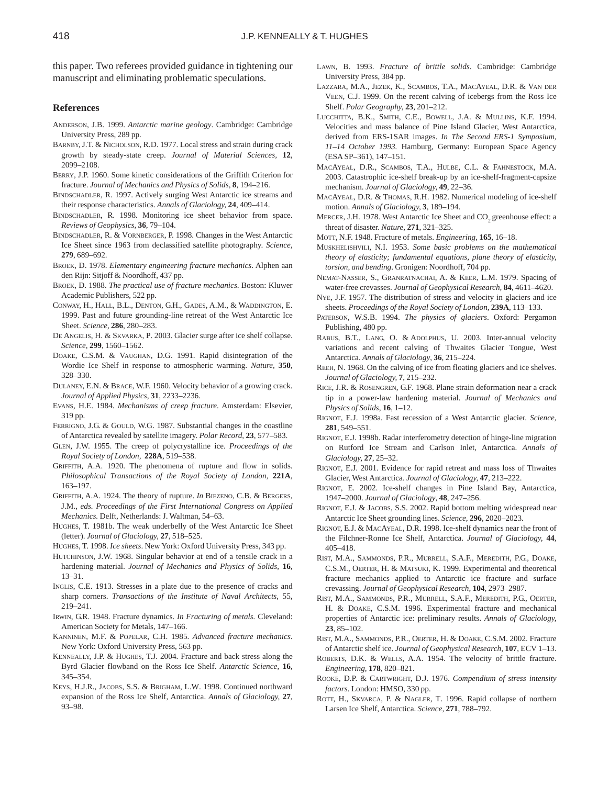this paper. Two referees provided guidance in tightening our manuscript and eliminating problematic speculations.

#### **References**

- ANDERSON, J.B. 1999. *Antarctic marine geology*. Cambridge: Cambridge University Press, 289 pp.
- BARNBY, J.T. & NICHOLSON, R.D. 1977. Local stress and strain during crack growth by steady-state creep. *Journal of Material Sciences,* **12**, 2099–2108.
- BERRY, J.P. 1960. Some kinetic considerations of the Griffith Criterion for fracture. *Journal of Mechanics and Physics of Solids,* **8**, 194–216.
- BINDSCHADLER, R. 1997. Actively surging West Antarctic ice streams and their response characteristics. *Annals of Glaciology,* **24**, 409–414.
- BINDSCHADLER, R. 1998. Monitoring ice sheet behavior from space. *Reviews of Geophysics,* **36**, 79–104.
- BINDSCHADLER, R. & VORNBERGER, P. 1998. Changes in the West Antarctic Ice Sheet since 1963 from declassified satellite photography. *Science,* **279**, 689–692.
- BROEK, D. 1978. *Elementary engineering fracture mechanics*. Alphen aan den Rijn: Sitjoff & Noordhoff, 437 pp.
- BROEK, D. 1988. *The practical use of fracture mechanics*. Boston: Kluwer Academic Publishers, 522 pp.
- CONWAY, H., HALL, B.L., DENTON, G.H., GADES, A.M., & WADDINGTON, E. 1999. Past and future grounding-line retreat of the West Antarctic Ice Sheet. *Science,* **286**, 280–283.
- DE ANGELIS, H. & SKVARKA, P. 2003. Glacier surge after ice shelf collapse. *Science,* **299**, 1560–1562.
- DOAKE, C.S.M. & VAUGHAN, D.G. 1991. Rapid disintegration of the Wordie Ice Shelf in response to atmospheric warming. *Nature,* **350**, 328–330.
- DULANEY, E.N. & BRACE, W.F. 1960. Velocity behavior of a growing crack. *Journal of Applied Physics,* **31**, 2233–2236.
- EVANS, H.E. 1984. *Mechanisms of creep fracture*. Amsterdam: Elsevier, 319 pp.
- FERRIGNO, J.G. & GOULD, W.G. 1987. Substantial changes in the coastline of Antarctica revealed by satellite imagery. *Polar Record,* **23**, 577–583.
- GLEN, J.W. 1955. The creep of polycrystalline ice. *Proceedings of the Royal Society of London,* **228A**, 519–538.
- GRIFFITH, A.A. 1920. The phenomena of rupture and flow in solids. *Philosophical Transactions of the Royal Society of London,* **221A**, 163–197.
- GRIFFITH, A.A. 1924. The theory of rupture. *In* BIEZENO, C.B. & BERGERS, J.M., *eds. Proceedings of the First International Congress on Applied Mechanics.* Delft, Netherlands: J. Waltman, 54–63.
- HUGHES, T. 1981b. The weak underbelly of the West Antarctic Ice Sheet (letter). *Journal of Glaciology,* **27**, 518–525.
- HUGHES, T. 1998. *Ice sheets*. New York: Oxford University Press, 343 pp.
- HUTCHINSON, J.W. 1968. Singular behavior at end of a tensile crack in a hardening material. *Journal of Mechanics and Physics of Solids,* **16**, 13–31.
- INGLIS, C.E. 1913. Stresses in a plate due to the presence of cracks and sharp corners. *Transactions of the Institute of Naval Architects,* 55, 219–241.
- IRWIN, G.R. 1948. Fracture dynamics. *In Fracturing of metals.* Cleveland: American Society for Metals, 147–166.
- KANNINEN, M.F. & POPELAR, C.H. 1985. *Advanced fracture mechanics*. New York: Oxford University Press, 563 pp.
- KENNEALLY, J.P. & HUGHES, T.J. 2004. Fracture and back stress along the Byrd Glacier flowband on the Ross Ice Shelf. *Antarctic Science,* **16**, 345–354.
- KEYS, H.J.R., JACOBS, S.S. & BRIGHAM, L.W. 1998. Continued northward expansion of the Ross Ice Shelf, Antarctica. *Annals of Glaciology,* **27**, 93–98.
- LAWN, B. 1993. *Fracture of brittle solids*. Cambridge: Cambridge University Press, 384 pp.
- LAZZARA, M.A., JEZEK, K., SCAMBOS, T.A., MACAYEAL, D.R. & VAN DER VEEN, C.J. 1999. On the recent calving of icebergs from the Ross Ice Shelf. *Polar Geography,* **23**, 201–212.
- LUCCHITTA, B.K., SMITH, C.E., BOWELL, J.A. & MULLINS, K.F. 1994. Velocities and mass balance of Pine Island Glacier, West Antarctica, derived from ERS-1SAR images. *In The Second ERS-1 Symposium, 11–14 October 1993.* Hamburg, Germany: European Space Agency (ESA SP–361), 147–151.
- MACAYEAL, D.R., SCAMBOS, T.A., HULBE, C.L. & FAHNESTOCK, M.A. 2003. Catastrophic ice-shelf break-up by an ice-shelf-fragment-capsize mechanism. *Journal of Glaciology,* **49**, 22–36.
- MACAYEAL, D.R. & THOMAS, R.H. 1982. Numerical modeling of ice-shelf motion. *Annals of Glaciology,* **3**, 189–194.
- MERCER, J.H. 1978. West Antarctic Ice Sheet and CO<sub>2</sub> greenhouse effect: a threat of disaster. *Nature,* **271**, 321–325.
- MOTT, N.F. 1948. Fracture of metals. *Engineering,* **165**, 16–18.
- MUSKHELISHVILI, N.I. 1953. *Some basic problems on the mathematical theory of elasticity; fundamental equations, plane theory of elasticity, torsion, and bending*. Gronigen: Noordhoff, 704 pp.
- NEMAT-NASSER, S., GRANRATNACHAI, A. & KEER, L.M. 1979. Spacing of water-free crevasses. *Journal of Geophysical Research,* **84**, 4611–4620.
- NYE, J.F. 1957. The distribution of stress and velocity in glaciers and ice sheets. *Proceedings of the Royal Society of London,* **239A**, 113–133.
- PATERSON, W.S.B. 1994. *The physics of glaciers*. Oxford: Pergamon Publishing, 480 pp.
- RABUS, B.T., LANG, O. & ADOLPHUS, U. 2003. Inter-annual velocity variations and recent calving of Thwaites Glacier Tongue, West Antarctica. *Annals of Glaciology*, **36**, 215–224.
- REEH, N. 1968. On the calving of ice from floating glaciers and ice shelves. *Journal of Glaciology,* **7**, 215–232.
- RICE, J.R. & ROSENGREN, G.F. 1968. Plane strain deformation near a crack tip in a power-law hardening material. *Journal of Mechanics and Physics of Solids,* **16**, 1–12.
- RIGNOT, E.J. 1998a. Fast recession of a West Antarctic glacier. *Science,* **281**, 549–551.
- RIGNOT, E.J. 1998b. Radar interferometry detection of hinge-line migration on Rutford Ice Stream and Carlson Inlet, Antarctica. *Annals of Glaciology,* **27**, 25–32.
- RIGNOT, E.J. 2001. Evidence for rapid retreat and mass loss of Thwaites Glacier, West Antarctica. *Journal of Glaciology,* **47**, 213–222.
- RIGNOT, E. 2002. Ice-shelf changes in Pine Island Bay, Antarctica, 1947–2000. *Journal of Glaciology*, **48**, 247–256.
- RIGNOT, E.J. & JACOBS, S.S. 2002. Rapid bottom melting widespread near Antarctic Ice Sheet grounding lines. *Science,* **296**, 2020–2023.
- RIGNOT, E.J. & MACAYEAL, D.R. 1998. Ice-shelf dynamics near the front of the Filchner-Ronne Ice Shelf, Antarctica. *Journal of Glaciology,* **44**, 405–418.
- RIST, M.A., SAMMONDS, P.R., MURRELL, S.A.F., MEREDITH, P.G., DOAKE, C.S.M., OERTER, H. & MATSUKI, K. 1999. Experimental and theoretical fracture mechanics applied to Antarctic ice fracture and surface crevassing. *Journal of Geophysical Research,* **104**, 2973–2987.
- RIST, M.A., SAMMONDS, P.R., MURRELL, S.A.F., MEREDITH, P.G., OERTER, H. & DOAKE, C.S.M. 1996. Experimental fracture and mechanical properties of Antarctic ice: preliminary results. *Annals of Glaciology,* **23**, 85–102.
- RIST, M.A., SAMMONDS, P.R., OERTER, H. & DOAKE, C.S.M. 2002. Fracture of Antarctic shelf ice. *Journal of Geophysical Research,* **107**, ECV 1–13.
- ROBERTS, D.K. & WELLS, A.A. 1954. The velocity of brittle fracture. *Engineering,* **178**, 820–821.
- ROOKE, D.P. & CARTWRIGHT, D.J. 1976. *Compendium of stress intensity factors*. London: HMSO, 330 pp.
- ROTT, H., SKVARCA, P. & NAGLER, T. 1996. Rapid collapse of northern Larsen Ice Shelf, Antarctica. *Science,* **271**, 788–792.